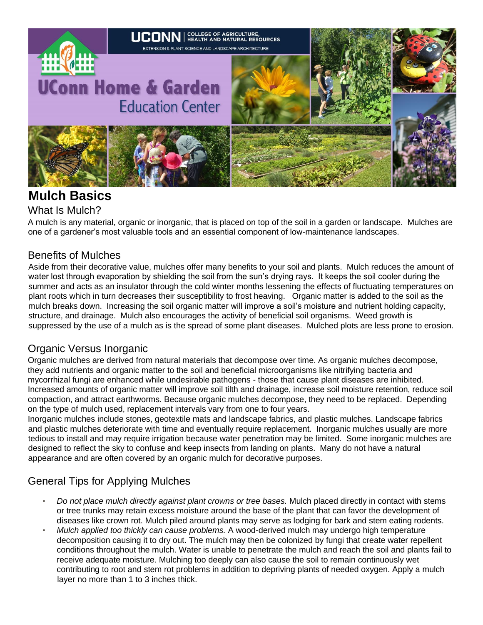

# **Mulch Basics**

### What Is Mulch?

A mulch is any material, organic or inorganic, that is placed on top of the soil in a garden or landscape. Mulches are one of a gardener's most valuable tools and an essential component of low-maintenance landscapes.

### Benefits of Mulches

Aside from their decorative value, mulches offer many benefits to your soil and plants. Mulch reduces the amount of water lost through evaporation by shielding the soil from the sun's drying rays. It keeps the soil cooler during the summer and acts as an insulator through the cold winter months lessening the effects of fluctuating temperatures on plant roots which in turn decreases their susceptibility to frost heaving. Organic matter is added to the soil as the mulch breaks down. Increasing the soil organic matter will improve a soil's moisture and nutrient holding capacity, structure, and drainage. Mulch also encourages the activity of beneficial soil organisms. Weed growth is suppressed by the use of a mulch as is the spread of some plant diseases. Mulched plots are less prone to erosion.

### Organic Versus Inorganic

Organic mulches are derived from natural materials that decompose over time. As organic mulches decompose, they add nutrients and organic matter to the soil and beneficial microorganisms like nitrifying bacteria and mycorrhizal fungi are enhanced while undesirable pathogens - those that cause plant diseases are inhibited. Increased amounts of organic matter will improve soil tilth and drainage, increase soil moisture retention, reduce soil compaction, and attract earthworms. Because organic mulches decompose, they need to be replaced. Depending on the type of mulch used, replacement intervals vary from one to four years.

Inorganic mulches include stones, geotextile mats and landscape fabrics, and plastic mulches. Landscape fabrics and plastic mulches deteriorate with time and eventually require replacement. Inorganic mulches usually are more tedious to install and may require irrigation because water penetration may be limited. Some inorganic mulches are designed to reflect the sky to confuse and keep insects from landing on plants. Many do not have a natural appearance and are often covered by an organic mulch for decorative purposes.

### General Tips for Applying Mulches

- *Do not place mulch directly against plant crowns or tree bases.* Mulch placed directly in contact with stems or tree trunks may retain excess moisture around the base of the plant that can favor the development of diseases like crown rot. Mulch piled around plants may serve as lodging for bark and stem eating rodents.
- *Mulch applied too thickly can cause problems.* A wood-derived mulch may undergo high temperature decomposition causing it to dry out. The mulch may then be colonized by fungi that create water repellent conditions throughout the mulch. Water is unable to penetrate the mulch and reach the soil and plants fail to receive adequate moisture. Mulching too deeply can also cause the soil to remain continuously wet contributing to root and stem rot problems in addition to depriving plants of needed oxygen. Apply a mulch layer no more than 1 to 3 inches thick.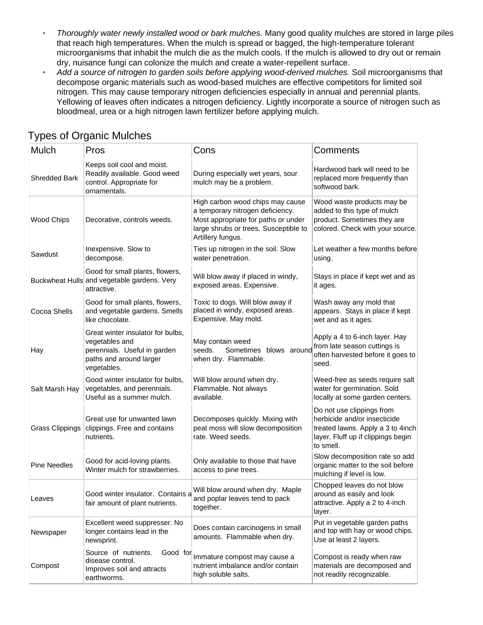- *Thoroughly water newly installed wood or bark mulches.* Many good quality mulches are stored in large piles that reach high temperatures. When the mulch is spread or bagged, the high-temperature tolerant microorganisms that inhabit the mulch die as the mulch cools. If the mulch is allowed to dry out or remain dry, nuisance fungi can colonize the mulch and create a water-repellent surface.
- *Add a source of nitrogen to garden soils before applying wood-derived mulches.* Soil microorganisms that decompose organic materials such as wood-based mulches are effective competitors for limited soil nitrogen. This may cause temporary nitrogen deficiencies especially in annual and perennial plants. Yellowing of leaves often indicates a nitrogen deficiency. Lightly incorporate a source of nitrogen such as bloodmeal, urea or a high nitrogen lawn fertilizer before applying mulch.

| Mulch                  | Pros                                                                                                                          | Cons                                                                                                                                                                      | Comments                                                                                                                                          |
|------------------------|-------------------------------------------------------------------------------------------------------------------------------|---------------------------------------------------------------------------------------------------------------------------------------------------------------------------|---------------------------------------------------------------------------------------------------------------------------------------------------|
| <b>Shredded Bark</b>   | Keeps soil cool and moist.<br>Readily available. Good weed<br>control. Appropriate for<br>ornamentals.                        | During especially wet years, sour<br>mulch may be a problem.                                                                                                              | Hardwood bark will need to be<br>replaced more frequently than<br>softwood bark.                                                                  |
| <b>Wood Chips</b>      | Decorative, controls weeds.                                                                                                   | High carbon wood chips may cause<br>a temporary nitrogen deficiency.<br>Most appropriate for paths or under<br>large shrubs or trees. Susceptible to<br>Artillery fungus. | Wood waste products may be<br>added to this type of mulch<br>product. Sometimes they are<br>colored. Check with your source.                      |
| Sawdust                | Inexpensive. Slow to<br>decompose.                                                                                            | Ties up nitrogen in the soil. Slow<br>water penetration.                                                                                                                  | Let weather a few months before<br>using.                                                                                                         |
|                        | Good for small plants, flowers,<br>Buckwheat Hulls and vegetable gardens. Very<br>attractive.                                 | Will blow away if placed in windy,<br>exposed areas. Expensive.                                                                                                           | Stays in place if kept wet and as<br>it ages.                                                                                                     |
| Cocoa Shells           | Good for small plants, flowers,<br>and vegetable gardens. Smells<br>like chocolate.                                           | Toxic to dogs. Will blow away if<br>placed in windy, exposed areas.<br>Expensive. May mold.                                                                               | Wash away any mold that<br>appears. Stays in place if kept<br>wet and as it ages.                                                                 |
| Hay                    | Great winter insulator for bulbs,<br>vegetables and<br>perennials. Useful in garden<br>paths and around larger<br>vegetables. | May contain weed<br>seeds.<br>Sometimes blows around<br>when dry. Flammable.                                                                                              | Apply a 4 to 6-inch layer. Hay<br>from late season cuttings is<br>often harvested before it goes to<br>seed.                                      |
| Salt Marsh Hay         | Good winter insulator for bulbs,<br>vegetables, and perennials.<br>Useful as a summer mulch.                                  | Will blow around when dry.<br>Flammable. Not always<br>available.                                                                                                         | Weed-free as seeds require salt<br>water for germination. Sold<br>locally at some garden centers.                                                 |
| <b>Grass Clippings</b> | Great use for unwanted lawn<br>clippings. Free and contains<br>nutrients.                                                     | Decomposes quickly. Mixing with<br>peat moss will slow decomposition<br>rate. Weed seeds.                                                                                 | Do not use clippings from<br>herbicide and/or insecticide<br>treated lawns. Apply a 3 to 4inch<br>layer. Fluff up if clippings begin<br>to smell. |
| <b>Pine Needles</b>    | Good for acid-loving plants.<br>Winter mulch for strawberries.                                                                | Only available to those that have<br>access to pine trees.                                                                                                                | Slow decomposition rate so add<br>organic matter to the soil before<br>mulching if level is low.                                                  |
| Leaves                 | Good winter insulator. Contains a<br>fair amount of plant nutrients.                                                          | Will blow around when dry. Maple<br>and poplar leaves tend to pack<br>together.                                                                                           | Chopped leaves do not blow<br>around as easily and look<br>attractive. Apply a 2 to 4-inch<br>layer.                                              |
| Newspaper              | Excellent weed suppresser. No<br>longer contains lead in the<br>newsprint.                                                    | Does contain carcinogens in small<br>amounts. Flammable when dry.                                                                                                         | Put in vegetable garden paths<br>and top with hay or wood chips.<br>Use at least 2 layers.                                                        |
| Compost                | Source of nutrients.<br>Good for<br>disease control.<br>Improves soil and attracts<br>earthworms.                             | Immature compost may cause a<br>nutrient imbalance and/or contain<br>high soluble salts.                                                                                  | Compost is ready when raw<br>materials are decomposed and<br>not readily recognizable.                                                            |

### Types of Organic Mulches